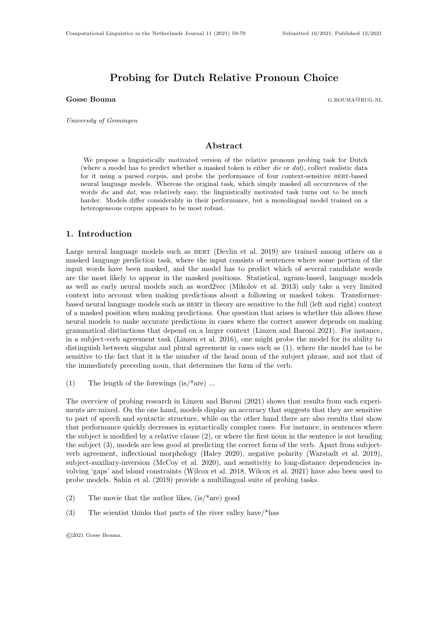# Probing for Dutch Relative Pronoun Choice

Gosse Bouma Grand Contract Contract Contract Contract Contract Contract Contract Contract Contract Contract Contract Contract Contract Contract Contract Contract Contract Contract Contract Contract Contract Contract Contra

University of Groningen

### Abstract

We propose a linguistically motivated version of the relative pronoun probing task for Dutch (where a model has to predict whether a masked token is either die or dat), collect realistic data for it using a parsed corpus, and probe the performance of four context-sensitive bert-based neural language models. Whereas the original task, which simply masked all occurrences of the words die and dat, was relatively easy, the linguistically motivated task turns out to be much harder. Models differ considerably in their performance, but a monolingual model trained on a heterogeneous corpus appears to be most robust.

## 1. Introduction

Large neural language models such as BERT (Devlin et al. 2019) are trained among others on a masked language prediction task, where the input consists of sentences where some portion of the input words have been masked, and the model has to predict which of several candidate words are the most likely to appear in the masked positions. Statistical, ngram-based, language models as well as early neural models such as word2vec (Mikolov et al. 2013) only take a very limited context into account when making predictions about a following or masked token. Transformerbased neural language models such as bert in theory are sensitive to the full (left and right) context of a masked position when making predictions. One question that arises is whether this allows these neural models to make accurate predictions in cases where the correct answer depends on making grammatical distinctions that depend on a larger context (Linzen and Baroni 2021). For instance, in a subject-verb agreement task (Linzen et al. 2016), one might probe the model for its ability to distinguish between singular and plural agreement in cases such as (1), where the model has to be sensitive to the fact that it is the number of the head noun of the subject phrase, and not that of the immediately preceding noun, that determines the form of the verb.

(1) The length of the forewings  $(is$ <sup>\*</sup>are) ...

The overview of probing research in Linzen and Baroni (2021) shows that results from such experiments are mixed. On the one hand, models display an accuracy that suggests that they are sensitive to part of speech and syntactic structure, while on the other hand there are also results that show that performance quickly decreases in syntactically complex cases. For instance, in sentences where the subject is modified by a relative clause (2), or where the first noun in the sentence is not heading the subject (3), models are less good at predicting the correct form of the verb. Apart from subjectverb agreement, inflectional morphology (Haley 2020), negative polarity (Warstadt et al. 2019), subject-auxiliary-inversion (McCoy et al. 2020), and sensitivity to long-distance dependencies involving 'gaps' and island constraints (Wilcox et al. 2018, Wilcox et al. 2021) have also been used to probe models. Sahin et al. (2019) provide a multilingual suite of probing tasks.

- (2) The movie that the author likes,  $(is/*are)$  good
- (3) The scientist thinks that parts of the river valley have/\*has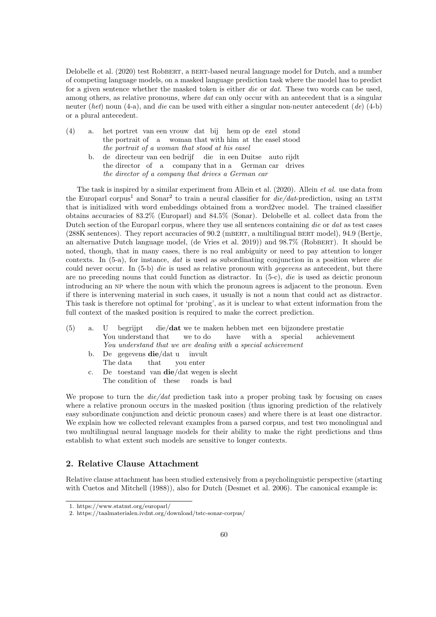Delobelle et al. (2020) test Robbert, a beat-based neural language model for Dutch, and a number of competing language models, on a masked language prediction task where the model has to predict for a given sentence whether the masked token is either die or dat. These two words can be used, among others, as relative pronouns, where dat can only occur with an antecedent that is a singular neuter (het) noun (4-a), and die can be used with either a singular non-neuter antecedent (de) (4-b) or a plural antecedent.

- (4) a. het portret van een vrouw dat bij hem op de ezel stond the portrait of a woman that with him at the easel stood the portrait of a woman that stood at his easel
	- b. de directeur van een bedrijf die in een Duitse auto rijdt the director of a company that in a German car drives the director of a company that drives a German car

The task is inspired by a similar experiment from Allein et al. (2020). Allein et al. use data from the Europarl corpus<sup>1</sup> and Sonar<sup>2</sup> to train a neural classifier for  $\text{die}/\text{dat}$ -prediction, using an LSTM that is initialized with word embeddings obtained from a word2vec model. The trained classifier obtains accuracies of 83.2% (Europarl) and 84.5% (Sonar). Delobelle et al. collect data from the Dutch section of the Europarl corpus, where they use all sentences containing die or dat as test cases (288K sentences). They report accuracies of 90.2 (mBERT, a multilingual BERT model), 94.9 (Bertje, an alternative Dutch language model, (de Vries et al. 2019)) and 98.7% (Robbert). It should be noted, though, that in many cases, there is no real ambiguity or need to pay attention to longer contexts. In  $(5-a)$ , for instance, *dat* is used as subordinating conjunction in a position where *die* could never occur. In (5-b) *die* is used as relative pronoun with *gegevens* as antecedent, but there are no preceding nouns that could function as distractor. In  $(5-c)$ , die is used as deictic pronoun introducing an np where the noun with which the pronoun agrees is adjacent to the pronoun. Even if there is intervening material in such cases, it usually is not a noun that could act as distractor. This task is therefore not optimal for 'probing', as it is unclear to what extent information from the full context of the masked position is required to make the correct prediction.

(5) a. U You understand that begrijpt die/dat we te maken hebben met een bijzondere prestatie we to do have with a special achievement You understand that we are dealing with a special achievement b. De gegevens **die**/dat u invult

The data that you enter

c. De toestand van die/dat wegen is slecht The condition of these roads is bad

We propose to turn the  $die/dat$  prediction task into a proper probing task by focusing on cases where a relative pronoun occurs in the masked position (thus ignoring prediction of the relatively easy subordinate conjunction and deictic pronoun cases) and where there is at least one distractor. We explain how we collected relevant examples from a parsed corpus, and test two monolingual and two multilingual neural language models for their ability to make the right predictions and thus establish to what extent such models are sensitive to longer contexts.

# 2. Relative Clause Attachment

Relative clause attachment has been studied extensively from a psycholinguistic perspective (starting with Cuetos and Mitchell (1988)), also for Dutch (Desmet et al. 2006). The canonical example is:

<sup>1.</sup> https://www.statmt.org/europarl/

<sup>2.</sup> https://taalmaterialen.ivdnt.org/download/tstc-sonar-corpus/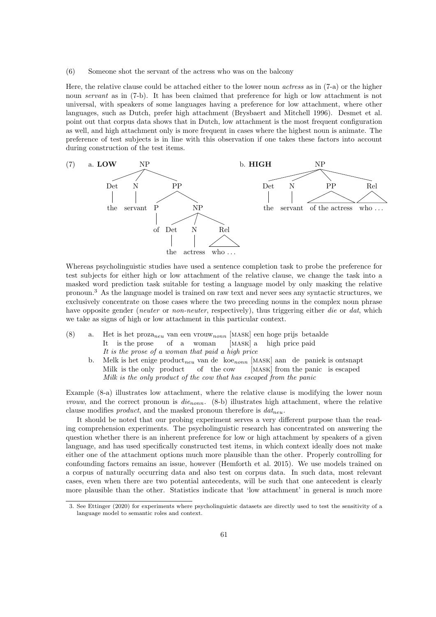(6) Someone shot the servant of the actress who was on the balcony

Here, the relative clause could be attached either to the lower noun actress as in (7-a) or the higher noun servant as in (7-b). It has been claimed that preference for high or low attachment is not universal, with speakers of some languages having a preference for low attachment, where other languages, such as Dutch, prefer high attachment (Brysbaert and Mitchell 1996). Desmet et al. point out that corpus data shows that in Dutch, low attachment is the most frequent configuration as well, and high attachment only is more frequent in cases where the highest noun is animate. The preference of test subjects is in line with this observation if one takes these factors into account during construction of the test items.



Whereas psycholinguistic studies have used a sentence completion task to probe the preference for test subjects for either high or low attachment of the relative clause, we change the task into a masked word prediction task suitable for testing a language model by only masking the relative pronoun.<sup>3</sup> As the language model is trained on raw text and never sees any syntactic structures, we exclusively concentrate on those cases where the two preceding nouns in the complex noun phrase have opposite gender (*neuter* or *non-neuter*, respectively), thus triggering either die or dat, which we take as signs of high or low attachment in this particular context.

- (8) a. Het is het proza<sub>neu</sub> van een vrouw<sub>nonn</sub> [MASK] een hoge prijs betaalde It is the prose of a woman MASK<sup>J</sup> a high price paid It is the prose of a woman that paid a high price
	- b. Melk is het enige  $product_{neu}$  van de koe<sub>nonn</sub> [MASK] aan de paniek is ontsnapt Milk is the only product of the cow [MASK] from the panic is escaped Milk is the only product of the cow that has escaped from the panic

Example (8-a) illustrates low attachment, where the relative clause is modifying the lower noun *vrouw*, and the correct pronoun is  $die_{nonn}$ . (8-b) illustrates high attachment, where the relative clause modifies *product*, and the masked pronoun therefore is  $dat_{neu}$ .

It should be noted that our probing experiment serves a very different purpose than the reading comprehension experiments. The psycholinguistic research has concentrated on answering the question whether there is an inherent preference for low or high attachment by speakers of a given language, and has used specifically constructed test items, in which context ideally does not make either one of the attachment options much more plausible than the other. Properly controlling for confounding factors remains an issue, however (Hemforth et al. 2015). We use models trained on a corpus of naturally occurring data and also test on corpus data. In such data, most relevant cases, even when there are two potential antecedents, will be such that one antecedent is clearly more plausible than the other. Statistics indicate that 'low attachment' in general is much more

<sup>3.</sup> See Ettinger (2020) for experiments where psycholinguistic datasets are directly used to test the sensitivity of a language model to semantic roles and context.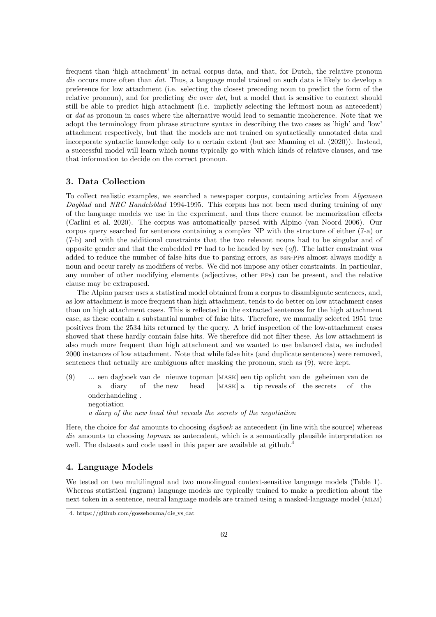frequent than 'high attachment' in actual corpus data, and that, for Dutch, the relative pronoun die occurs more often than *dat*. Thus, a language model trained on such data is likely to develop a preference for low attachment (i.e. selecting the closest preceding noun to predict the form of the relative pronoun), and for predicting *die* over *dat*, but a model that is sensitive to context should still be able to predict high attachment (i.e. implictly selecting the leftmost noun as antecedent) or dat as pronoun in cases where the alternative would lead to semantic incoherence. Note that we adopt the terminology from phrase structure syntax in describing the two cases as 'high' and 'low' attachment respectively, but that the models are not trained on syntactically annotated data and incorporate syntactic knowledge only to a certain extent (but see Manning et al. (2020)). Instead, a successful model will learn which nouns typically go with which kinds of relative clauses, and use that information to decide on the correct pronoun.

# 3. Data Collection

To collect realistic examples, we searched a newspaper corpus, containing articles from Algemeen Dagblad and NRC Handelsblad 1994-1995. This corpus has not been used during training of any of the language models we use in the experiment, and thus there cannot be memorization effects (Carlini et al. 2020). The corpus was automatically parsed with Alpino (van Noord 2006). Our corpus query searched for sentences containing a complex NP with the structure of either (7-a) or (7-b) and with the additional constraints that the two relevant nouns had to be singular and of opposite gender and that the embedded PP had to be headed by  $van(\textit{of})$ . The latter constraint was added to reduce the number of false hits due to parsing errors, as van-pps almost always modify a noun and occur rarely as modifiers of verbs. We did not impose any other constraints. In particular, any number of other modifying elements (adjectives, other pps) can be present, and the relative clause may be extraposed.

The Alpino parser uses a statistical model obtained from a corpus to disambiguate sentences, and, as low attachment is more frequent than high attachment, tends to do better on low attachment cases than on high attachment cases. This is reflected in the extracted sentences for the high attachment case, as these contain a substantial number of false hits. Therefore, we manually selected 1951 true positives from the 2534 hits returned by the query. A brief inspection of the low-attachment cases showed that these hardly contain false hits. We therefore did not filter these. As low attachment is also much more frequent than high attachment and we wanted to use balanced data, we included 2000 instances of low attachment. Note that while false hits (and duplicate sentences) were removed, sentences that actually are ambiguous after masking the pronoun, such as (9), were kept.

(9) ... een dagboek van de nieuwe topman [mask] een tip oplicht van de geheimen van de a diary of the new head [MASK] a tip reveals of the secrets of the onderhandeling . negotiation

a diary of the new head that reveals the secrets of the negotiation

Here, the choice for *dat* amounts to choosing *dagboek* as antecedent (in line with the source) whereas die amounts to choosing *topman* as antecedent, which is a semantically plausible interpretation as well. The datasets and code used in this paper are available at github.<sup>4</sup>

#### 4. Language Models

We tested on two multilingual and two monolingual context-sensitive language models (Table 1). Whereas statistical (ngram) language models are typically trained to make a prediction about the next token in a sentence, neural language models are trained using a masked-language model (MLM)

<sup>4.</sup> https://github.com/gossebouma/die vs dat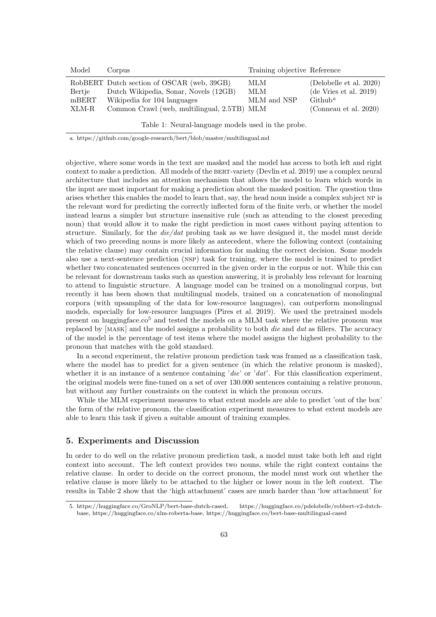| Model  | Corpus                                      | Training objective Reference |                         |
|--------|---------------------------------------------|------------------------------|-------------------------|
|        | RobBERT Dutch section of OSCAR (web, 39GB)  | MLM                          | (Delobelle et al. 2020) |
| Bertie | Dutch Wikipedia, Sonar, Novels (12GB)       | MLM                          | (de Vries et al. 2019)  |
| mBERT  | Wikipedia for 104 languages                 | MLM and NSP                  | $\mathrm{Github}^a$     |
| -XLM-R | Common Crawl (web, multilingual, 2.5TB) MLM |                              | (Conneau et al. 2020)   |

Table 1: Neural-language models used in the probe.

a. https://github.com/google-research/bert/blob/master/multilingual.md

objective, where some words in the text are masked and the model has access to both left and right context to make a prediction. All models of the BERT-variety (Devlin et al. 2019) use a complex neural architecture that includes an attention mechanism that allows the model to learn which words in the input are most important for making a prediction about the masked position. The question thus arises whether this enables the model to learn that, say, the head noun inside a complex subject np is the relevant word for predicting the correctly inflected form of the finite verb, or whether the model instead learns a simpler but structure insensitive rule (such as attending to the closest preceding noun) that would allow it to make the right prediction in most cases without paying attention to structure. Similarly, for the *die/dat* probing task as we have designed it, the model must decide which of two preceding nouns is more likely as antecedent, where the following context (containing the relative clause) may contain crucial information for making the correct decision. Some models also use a next-sentence prediction (nsp) task for training, where the model is trained to predict whether two concatenated sentences occurred in the given order in the corpus or not. While this can be relevant for downstream tasks such as question answering, it is probably less relevant for learning to attend to linguistic structure. A language model can be trained on a monolingual corpus, but recently it has been shown that multilingual models, trained on a concatenation of monolingual corpora (with upsampling of the data for low-resource languages), can outperform monolingual models, especially for low-resource languages (Pires et al. 2019). We used the pretrained models present on huggingface. $\cos^5$  and tested the models on a MLM task where the relative pronoun was replaced by [mask] and the model assigns a probability to both die and dat as fillers. The accuracy of the model is the percentage of test items where the model assigns the highest probability to the pronoun that matches with the gold standard.

In a second experiment, the relative pronoun prediction task was framed as a classification task, where the model has to predict for a given sentence (in which the relative pronoun is masked), whether it is an instance of a sentence containing 'die' or 'dat'. For this classification experiment, the original models were fine-tuned on a set of over 130.000 sentences containing a relative pronoun, but without any further constraints on the context in which the pronoun occurs.

While the MLM experiment measures to what extent models are able to predict 'out of the box' the form of the relative pronoun, the classification experiment measures to what extent models are able to learn this task if given a suitable amount of training examples.

# 5. Experiments and Discussion

In order to do well on the relative pronoun prediction task, a model must take both left and right context into account. The left context provides two nouns, while the right context contains the relative clause. In order to decide on the correct pronoun, the model must work out whether the relative clause is more likely to be attached to the higher or lower noun in the left context. The results in Table 2 show that the 'high attachment' cases are much harder than 'low attachment' for

<sup>5.</sup> https://huggingface.co/GroNLP/bert-base-dutch-cased, https://huggingface.co/pdelobelle/robbert-v2-dutchbase, https://huggingface.co/xlm-roberta-base, https://huggingface.co/bert-base-multilingual-cased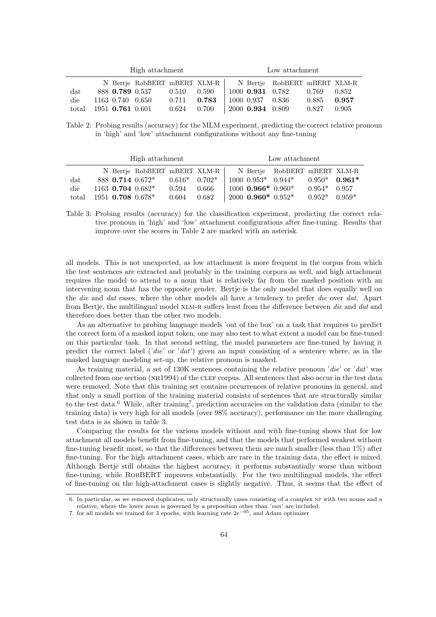| High attachment |                    |                              |       | Low attachment |  |                  |                              |       |       |
|-----------------|--------------------|------------------------------|-------|----------------|--|------------------|------------------------------|-------|-------|
|                 |                    | N Bertje RobBERT mBERT XLM-R |       |                |  |                  | N Bertje RobBERT mBERT XLM-R |       |       |
| dat             | 888 0.789 0.537    |                              | 0.510 | 0.590          |  | 1000 0.931 0.782 |                              | 0.769 | 0.852 |
| die             | 1163 0.740 0.650   |                              | 0.711 | 0.783          |  | 1000 0.937 0.836 |                              | 0.885 | 0.957 |
| total           | $1951$ 0.761 0.601 |                              | 0.624 | 0.700          |  | 2000 0.934 0.809 |                              | 0.827 | 0.905 |

Table 2: Probing results (accuracy) for the MLM experiment, predicting the correct relative pronoun in 'high' and 'low' attachment configurations without any fine-tuning

| High attachment |  |  |                                 | Low attachment    |       |  |                              |                              |                 |  |
|-----------------|--|--|---------------------------------|-------------------|-------|--|------------------------------|------------------------------|-----------------|--|
|                 |  |  | N Bertje RobBERT mBERT XLM-R    |                   |       |  |                              | N Bertje RobBERT mBERT XLM-R |                 |  |
| $_{\rm dat}$    |  |  | 888 0.714 0.672*                | $0.616*$ $0.702*$ |       |  | $1000 \ \ 0.953* \ \ 0.944*$ |                              | $0.950*$ 0.961* |  |
| die             |  |  | $1163$ 0.704 0.682 <sup>*</sup> | 0.594             | 0.666 |  | $1000$ 0.966* 0.960*         |                              | $0.954*$ 0.957  |  |
| total           |  |  | $1951$ 0.708 $0.678*$           | 0.604             | 0.682 |  | $2000$ 0.960* $0.952*$       |                              | $0.952*$ 0.959* |  |

Table 3: Probing results (accuracy) for the classification experiment, predicting the correct relative pronoun in 'high' and 'low' attachment configurations after fine-tuning. Results that improve over the scores in Table 2 are marked with an asterisk.

all models. This is not unexpected, as low attachment is more frequent in the corpus from which the test sentences are extracted and probably in the training corpora as well, and high attachment requires the model to attend to a noun that is relatively far from the masked position with an intervening noun that has the opposite gender. Bertje is the only model that does equally well on the die and dat cases, where the other models all have a tendency to prefer die over dat. Apart from Bertje, the multilingual model XLM-R suffers least from the difference between die and dat and therefore does better than the other two models.

As an alternative to probing language models 'out of the box' on a task that requires to predict the correct form of a masked input token, one may also test to what extent a model can be fine-tuned on this particular task. In that second setting, the model parameters are fine-tuned by having it predict the correct label ('die' or 'dat') given an input consisting of a sentence where, as in the masked language modeling set-up, the relative pronoun is masked.

As training material, a set of 130K sentences containing the relative pronoun 'die' or 'dat' was collected from one section (nh1994) of the clef corpus. All sentences that also occur in the test data were removed. Note that this training set contains occurrences of relative pronouns in general, and that only a small portion of the training material consists of sentences that are structurally similar to the test data.<sup>6</sup> While, after training<sup>7</sup>, prediction accuracies on the validation data (similar to the training data) is very high for all models (over 98% accuracy), performance on the more challenging test data is as shown in table 3.

Comparing the results for the various models without and with fine-tuning shows that for low attachment all models benefit from fine-tuning, and that the models that performed weakest without fine-tuning benefit most, so that the differences between them are much smaller (less than 1%) after fine-tuning. For the high attachment cases, which are rare in the training data, the effect is mixed. Although Bertje still obtains the highest accuracy, it performs substantially worse than without fine-tuning, while RobBERT improves substantially. For the two multilingual models, the effect of fine-tuning on the high-attachment cases is slightly negative. Thus, it seems that the effect of

<sup>6.</sup> In particular, as we removed duplicates, only structurally cases consisting of a complex np with two nouns and a relative, where the lower noun is governed by a preposition other than 'van' are included.

<sup>7.</sup> for all models we trained for 3 epochs, with learning rate 2e−05, and Adam optimizer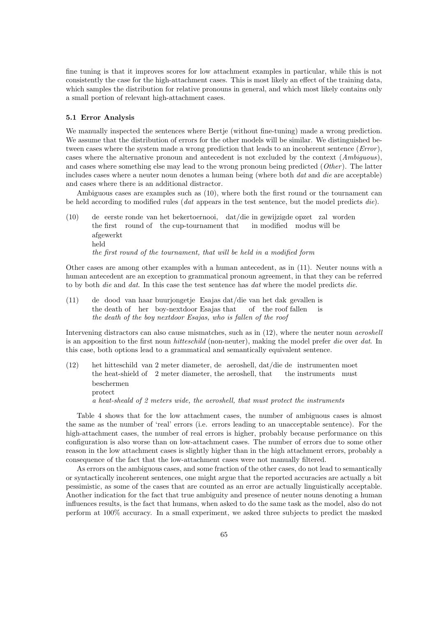fine tuning is that it improves scores for low attachment examples in particular, while this is not consistently the case for the high-attachment cases. This is most likely an effect of the training data, which samples the distribution for relative pronouns in general, and which most likely contains only a small portion of relevant high-attachment cases.

#### 5.1 Error Analysis

We manually inspected the sentences where Bertje (without fine-tuning) made a wrong prediction. We assume that the distribution of errors for the other models will be similar. We distinguished between cases where the system made a wrong prediction that leads to an incoherent sentence (*Error*), cases where the alternative pronoun and antecedent is not excluded by the context (Ambiguous), and cases where something else may lead to the wrong pronoun being predicted  $(Other)$ . The latter includes cases where a neuter noun denotes a human being (where both dat and die are acceptable) and cases where there is an additional distractor.

Ambiguous cases are examples such as (10), where both the first round or the tournament can be held according to modified rules (dat appears in the test sentence, but the model predicts die).

 $(10)$ the first round of the cup-tournament that eerste ronde van het bekertoernooi, dat/die in gewijzigde opzet zal worden in modified modus will be afgewerkt held the first round of the tournament, that will be held in a modified form

Other cases are among other examples with a human antecedent, as in (11). Neuter nouns with a human antecedent are an exception to grammatical pronoun agreement, in that they can be referred to by both *die* and *dat*. In this case the test sentence has *dat* where the model predicts *die*.

 $(11)$ the death of her boy-nextdoor Esajas that dood van haar buurjongetje Esajas dat/die van het dak gevallen is of the roof fallen is the death of the boy nextdoor Esajas, who is fallen of the roof

Intervening distractors can also cause mismatches, such as in  $(12)$ , where the neuter noun *aeroshell* is an apposition to the first noun hitteschild (non-neuter), making the model prefer die over dat. In this case, both options lead to a grammatical and semantically equivalent sentence.

 $(12)$ the heat-shield of 2 meter diameter, the aeroshell, that hitteschild van 2 meter diameter, de aeroshell, dat/die de instrumenten moet the instruments must beschermen protect a heat-sheald of 2 meters wide, the aeroshell, that must protect the instruments

Table 4 shows that for the low attachment cases, the number of ambiguous cases is almost the same as the number of 'real' errors (i.e. errors leading to an unacceptable sentence). For the high-attachment cases, the number of real errors is higher, probably because performance on this configuration is also worse than on low-attachment cases. The number of errors due to some other reason in the low attachment cases is slightly higher than in the high attachment errors, probably a consequence of the fact that the low-attachment cases were not manually filtered.

As errors on the ambiguous cases, and some fraction of the other cases, do not lead to semantically or syntactically incoherent sentences, one might argue that the reported accuracies are actually a bit pessimistic, as some of the cases that are counted as an error are actually linguistically acceptable. Another indication for the fact that true ambiguity and presence of neuter nouns denoting a human influences results, is the fact that humans, when asked to do the same task as the model, also do not perform at 100% accuracy. In a small experiment, we asked three subjects to predict the masked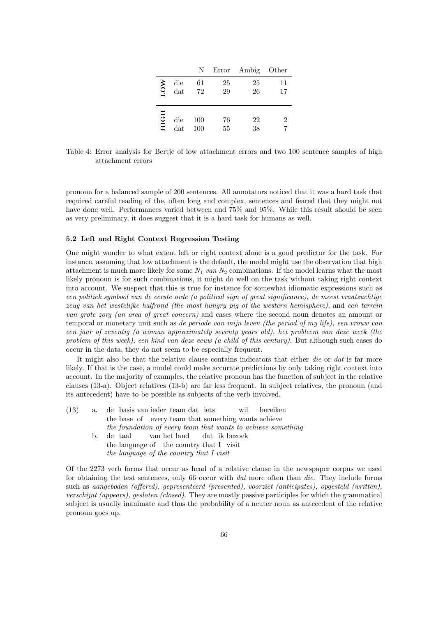|      |            | N          |          | Error Ambig Other |          |
|------|------------|------------|----------|-------------------|----------|
| LOW  | die<br>dat | 61<br>72   | 25<br>29 | 25<br>26          | 11<br>17 |
| HICH | die<br>dat | 100<br>100 | 76<br>55 | 22<br>38          | 2        |

Table 4: Error analysis for Bertje of low attachment errors and two 100 sentence samples of high attachment errors

pronoun for a balanced sample of 200 sentences. All annotators noticed that it was a hard task that required careful reading of the, often long and complex, sentences and feared that they might not have done well. Performances varied between and 75% and 95%. While this result should be seen as very preliminary, it does suggest that it is a hard task for humans as well.

#### 5.2 Left and Right Context Regression Testing

One might wonder to what extent left or right context alone is a good predictor for the task. For instance, assuming that low attachment is the default, the model might use the observation that high attachment is much more likely for some  $N_1$  van  $N_2$  combinations. If the model learns what the most likely pronoun is for such combinations, it might do well on the task without taking right context into account. We suspect that this is true for instance for somewhat idiomatic expressions such as een politiek symbool van de eerste orde (a political sign of great significance), de meest vraatzuchtige zeug van het westelijke halfrond (the most hungry pig of the western hemisphere), and een terrein van grote zorg (an area of great concern) and cases where the second noun denotes an amount or temporal or monetary unit such as de periode van mijn leven (the period of my life), een vrouw van een jaar of zeventig (a woman approximately seventy years old), het probleem van deze week (the problem of this week), een kind van deze eeuw (a child of this century). But although such cases do occur in the data, they do not seem to be especially frequent.

It might also be that the relative clause contains indicators that either *die* or *dat* is far more likely. If that is the case, a model could make accurate predictions by only taking right context into account. In the majority of examples, the relative pronoun has the function of subject in the relative clauses (13-a). Object relatives (13-b) are far less frequent. In subject relatives, the pronoun (and its antecedent) have to be possible as subjects of the verb involved.

| (13) |    | a. de basis van ieder team dat iets wil bereiken             |
|------|----|--------------------------------------------------------------|
|      |    | the base of every team that something wants achieve          |
|      |    | the foundation of every team that wants to achieve something |
|      | b. | de taal van het land dat ik bezoek                           |
|      |    | the language of the country that I visit                     |
|      |    | the language of the country that I visit                     |
|      |    |                                                              |

Of the 2273 verb forms that occur as head of a relative clause in the newspaper corpus we used for obtaining the test sentences, only 66 occur with dat more often than die. They include forms such as aangeboden (offered), gepresenteerd (presented), voorziet (anticipates), opgesteld (written), verschijnt (appears), gesloten (closed). They are mostly passive participles for which the grammatical subject is usually inanimate and thus the probability of a neuter noun as antecedent of the relative pronoun goes up.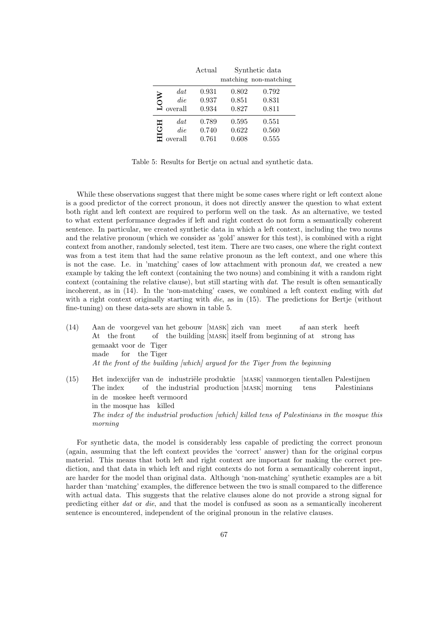|                          |         | Actual |       | Synthetic data        |  |  |
|--------------------------|---------|--------|-------|-----------------------|--|--|
|                          |         |        |       | matching non-matching |  |  |
| $\overline{\mathrm{SO}}$ | dat     | 0.931  | 0.802 | 0.792                 |  |  |
|                          | die     | 0.937  | 0.851 | 0.831                 |  |  |
|                          | overall | 0.934  | 0.827 | 0.811                 |  |  |
| H                        | dat     | 0.789  | 0.595 | 0.551                 |  |  |
| ق                        | die     | 0.740  | 0.622 | 0.560                 |  |  |
|                          | overall | 0.761  | 0.608 | 0.555                 |  |  |

Table 5: Results for Bertje on actual and synthetic data.

While these observations suggest that there might be some cases where right or left context alone is a good predictor of the correct pronoun, it does not directly answer the question to what extent both right and left context are required to perform well on the task. As an alternative, we tested to what extent performance degrades if left and right context do not form a semantically coherent sentence. In particular, we created synthetic data in which a left context, including the two nouns and the relative pronoun (which we consider as 'gold' answer for this test), is combined with a right context from another, randomly selected, test item. There are two cases, one where the right context was from a test item that had the same relative pronoun as the left context, and one where this is not the case. I.e. in 'matching' cases of low attachment with pronoun dat, we created a new example by taking the left context (containing the two nouns) and combining it with a random right context (containing the relative clause), but still starting with dat. The result is often semantically incoherent, as in (14). In the 'non-matching' cases, we combined a left context ending with dat with a right context originally starting with *die*, as in (15). The predictions for Bertje (without fine-tuning) on these data-sets are shown in table 5.

- (14) Aan de voorgevel van het gebouw [mask] zich van meet At the front of the building [MASK] itself from beginning of at strong has af aan sterk heeft gemaakt voor de Tiger made for the Tiger At the front of the building [which] argued for the Tiger from the beginning
- (15) Het indexcijfer van de industriële produktie [MASK] vanmorgen tientallen Palestijnen The index of the industrial production [mask] morning tens Palestinians in de moskee heeft vermoord in the mosque has killed The index of the industrial production [which] killed tens of Palestinians in the mosque this morning

For synthetic data, the model is considerably less capable of predicting the correct pronoun (again, assuming that the left context provides the 'correct' answer) than for the original corpus material. This means that both left and right context are important for making the correct prediction, and that data in which left and right contexts do not form a semantically coherent input, are harder for the model than original data. Although 'non-matching' synthetic examples are a bit harder than 'matching' examples, the difference between the two is small compared to the difference with actual data. This suggests that the relative clauses alone do not provide a strong signal for predicting either dat or die, and that the model is confused as soon as a semantically incoherent sentence is encountered, independent of the original pronoun in the relative clauses.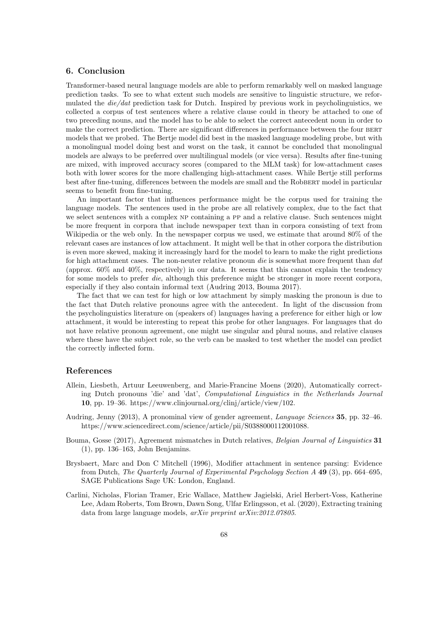# 6. Conclusion

Transformer-based neural language models are able to perform remarkably well on masked language prediction tasks. To see to what extent such models are sensitive to linguistic structure, we reformulated the die/dat prediction task for Dutch. Inspired by previous work in psycholinguistics, we collected a corpus of test sentences where a relative clause could in theory be attached to one of two preceding nouns, and the model has to be able to select the correct antecedent noun in order to make the correct prediction. There are significant differences in performance between the four BERT models that we probed. The Bertje model did best in the masked language modeling probe, but with a monolingual model doing best and worst on the task, it cannot be concluded that monolingual models are always to be preferred over multilingual models (or vice versa). Results after fine-tuning are mixed, with improved accuracy scores (compared to the MLM task) for low-attachment cases both with lower scores for the more challenging high-attachment cases. While Bertje still performs best after fine-tuning, differences between the models are small and the RobBERT model in particular seems to benefit from fine-tuning.

An important factor that influences performance might be the corpus used for training the language models. The sentences used in the probe are all relatively complex, due to the fact that we select sentences with a complex NP containing a PP and a relative clause. Such sentences might be more frequent in corpora that include newspaper text than in corpora consisting of text from Wikipedia or the web only. In the newspaper corpus we used, we estimate that around 80% of the relevant cases are instances of low attachment. It might well be that in other corpora the distribution is even more skewed, making it increasingly hard for the model to learn to make the right predictions for high attachment cases. The non-neuter relative pronoun die is somewhat more frequent than dat (approx.  $60\%$  and  $40\%$ , respectively) in our data. It seems that this cannot explain the tendency for some models to prefer *die*, although this preference might be stronger in more recent corpora, especially if they also contain informal text (Audring 2013, Bouma 2017).

The fact that we can test for high or low attachment by simply masking the pronoun is due to the fact that Dutch relative pronouns agree with the antecedent. In light of the discussion from the psycholinguistics literature on (speakers of) languages having a preference for either high or low attachment, it would be interesting to repeat this probe for other languages. For languages that do not have relative pronoun agreement, one might use singular and plural nouns, and relative clauses where these have the subject role, so the verb can be masked to test whether the model can predict the correctly inflected form.

#### References

- Allein, Liesbeth, Artuur Leeuwenberg, and Marie-Francine Moens (2020), Automatically correcting Dutch pronouns 'die' and 'dat', Computational Linguistics in the Netherlands Journal 10, pp. 19–36. https://www.clinjournal.org/clinj/article/view/102.
- Audring, Jenny (2013), A pronominal view of gender agreement, Language Sciences 35, pp. 32–46. https://www.sciencedirect.com/science/article/pii/S0388000112001088.
- Bouma, Gosse (2017), Agreement mismatches in Dutch relatives, Belgian Journal of Linguistics 31 (1), pp. 136–163, John Benjamins.
- Brysbaert, Marc and Don C Mitchell (1996), Modifier attachment in sentence parsing: Evidence from Dutch, The Quarterly Journal of Experimental Psychology Section A 49 (3), pp. 664–695, SAGE Publications Sage UK: London, England.
- Carlini, Nicholas, Florian Tramer, Eric Wallace, Matthew Jagielski, Ariel Herbert-Voss, Katherine Lee, Adam Roberts, Tom Brown, Dawn Song, Ulfar Erlingsson, et al. (2020), Extracting training data from large language models, arXiv preprint arXiv:2012.07805.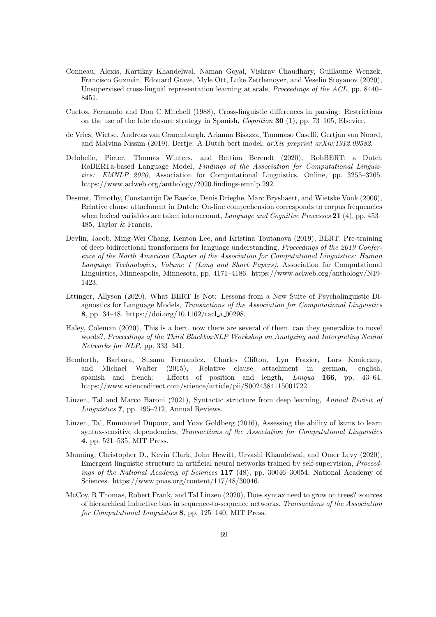- Conneau, Alexis, Kartikay Khandelwal, Naman Goyal, Vishrav Chaudhary, Guillaume Wenzek, Francisco Guzm´an, Edouard Grave, Myle Ott, Luke Zettlemoyer, and Veselin Stoyanov (2020), Unsupervised cross-lingual representation learning at scale, *Proceedings of the ACL*, pp. 8440– 8451.
- Cuetos, Fernando and Don C Mitchell (1988), Cross-linguistic differences in parsing: Restrictions on the use of the late closure strategy in Spanish, Cognition 30 (1), pp. 73–105, Elsevier.
- de Vries, Wietse, Andreas van Cranenburgh, Arianna Bisazza, Tommaso Caselli, Gertjan van Noord, and Malvina Nissim (2019), Bertje: A Dutch bert model, arXiv preprint arXiv:1912.09582.
- Delobelle, Pieter, Thomas Winters, and Bettina Berendt (2020), RobBERT: a Dutch RoBERTa-based Language Model, Findings of the Association for Computational Linguistics: EMNLP 2020, Association for Computational Linguistics, Online, pp. 3255–3265. https://www.aclweb.org/anthology/2020.findings-emnlp.292.
- Desmet, Timothy, Constantijn De Baecke, Denis Drieghe, Marc Brysbaert, and Wietske Vonk (2006), Relative clause attachment in Dutch: On-line comprehension corresponds to corpus frequencies when lexical variables are taken into account, *Language and Cognitive Processes* 21 (4), pp. 453– 485, Taylor & Francis.
- Devlin, Jacob, Ming-Wei Chang, Kenton Lee, and Kristina Toutanova (2019), BERT: Pre-training of deep bidirectional transformers for language understanding, Proceedings of the 2019 Conference of the North American Chapter of the Association for Computational Linguistics: Human Language Technologies, Volume 1 (Long and Short Papers), Association for Computational Linguistics, Minneapolis, Minnesota, pp. 4171–4186. https://www.aclweb.org/anthology/N19- 1423.
- Ettinger, Allyson (2020), What BERT Is Not: Lessons from a New Suite of Psycholinguistic Diagnostics for Language Models, Transactions of the Association for Computational Linguistics 8, pp. 34–48. https://doi.org/10.1162/tacl\_a\_00298.
- Haley, Coleman (2020), This is a bert. now there are several of them. can they generalize to novel words?, Proceedings of the Third BlackboxNLP Workshop on Analyzing and Interpreting Neural Networks for NLP, pp. 333–341.
- Hemforth, Barbara, Susana Fernandez, Charles Clifton, Lyn Frazier, Lars Konieczny, and Michael Walter (2015), Relative clause attachment in german, english, spanish and french: Effects of position and length, Lingua 166, pp. 43–64. https://www.sciencedirect.com/science/article/pii/S0024384115001722.
- Linzen, Tal and Marco Baroni (2021), Syntactic structure from deep learning, Annual Review of Linguistics 7, pp. 195–212, Annual Reviews.
- Linzen, Tal, Emmanuel Dupoux, and Yoav Goldberg (2016), Assessing the ability of lstms to learn syntax-sensitive dependencies, Transactions of the Association for Computational Linguistics 4, pp. 521–535, MIT Press.
- Manning, Christopher D., Kevin Clark, John Hewitt, Urvashi Khandelwal, and Omer Levy (2020), Emergent linguistic structure in artificial neural networks trained by self-supervision, Proceedings of the National Academy of Sciences 117 (48), pp. 30046–30054, National Academy of Sciences. https://www.pnas.org/content/117/48/30046.
- McCoy, R Thomas, Robert Frank, and Tal Linzen (2020), Does syntax need to grow on trees? sources of hierarchical inductive bias in sequence-to-sequence networks, Transactions of the Association for Computational Linguistics 8, pp. 125–140, MIT Press.